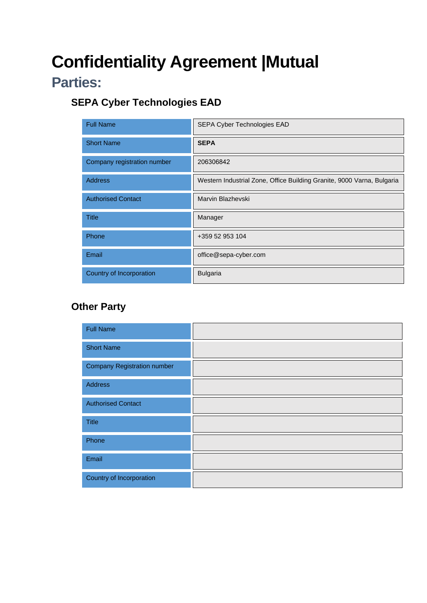# **Confidentiality Agreement |Mutual**

## **Parties:**

### **SEPA Cyber Technologies EAD**

| <b>Full Name</b>            | SEPA Cyber Technologies EAD                                            |
|-----------------------------|------------------------------------------------------------------------|
| <b>Short Name</b>           | <b>SEPA</b>                                                            |
| Company registration number | 206306842                                                              |
| <b>Address</b>              | Western Industrial Zone, Office Building Granite, 9000 Varna, Bulgaria |
| <b>Authorised Contact</b>   | Marvin Blazhevski                                                      |
| <b>Title</b>                | Manager                                                                |
| Phone                       | +359 52 953 104                                                        |
| Email                       | office@sepa-cyber.com                                                  |
| Country of Incorporation    | <b>Bulgaria</b>                                                        |

### **Other Party**

| <b>Full Name</b>                   |  |
|------------------------------------|--|
| <b>Short Name</b>                  |  |
| <b>Company Registration number</b> |  |
| Address                            |  |
| <b>Authorised Contact</b>          |  |
| Title                              |  |
| Phone                              |  |
| Email                              |  |
| Country of Incorporation           |  |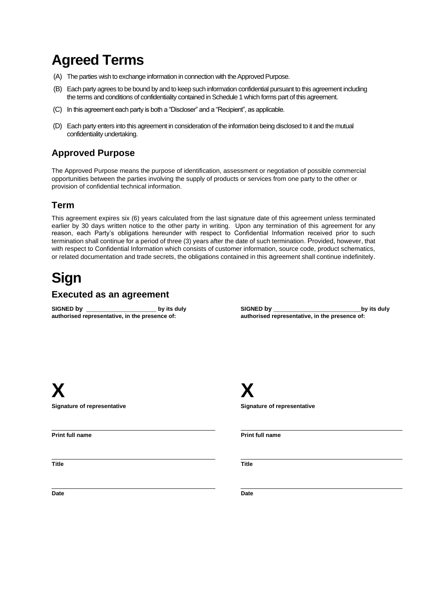## **Agreed Terms**

- (A) The parties wish to exchange information in connection with the Approved Purpose.
- (B) Each party agrees to be bound by and to keep such information confidential pursuant to this agreement including the terms and conditions of confidentiality contained in Schedule 1 which forms part of this agreement.
- (C) In this agreement each party is both a "Discloser" and a "Recipient", as applicable.
- (D) Each party enters into this agreement in consideration of the information being disclosed to it and the mutual confidentiality undertaking.

### **Approved Purpose**

The Approved Purpose means the purpose of identification, assessment or negotiation of possible commercial opportunities between the parties involving the supply of products or services from one party to the other or provision of confidential technical information.

### **Term**

This agreement expires six (6) years calculated from the last signature date of this agreement unless terminated earlier by 30 days written notice to the other party in writing. Upon any termination of this agreement for any reason, each Party's obligations hereunder with respect to Confidential Information received prior to such termination shall continue for a period of three (3) years after the date of such termination. Provided, however, that with respect to Confidential Information which consists of customer information, source code, product schematics, or related documentation and trade secrets, the obligations contained in this agreement shall continue indefinitely.

## **Sign**

### **Executed as an agreement**

**SIGNED by \_\_\_\_\_\_\_\_\_\_\_\_\_\_\_\_ by its duly authorised representative, in the presence of:**

**SIGNED by \_\_\_\_\_\_\_\_\_\_\_\_\_\_\_\_\_\_\_\_by its duly authorised representative, in the presence of:**

**X X**

**Print full name Print full name**

**Title Title**

**Signature of representative Signature of representative** 

**Date Date**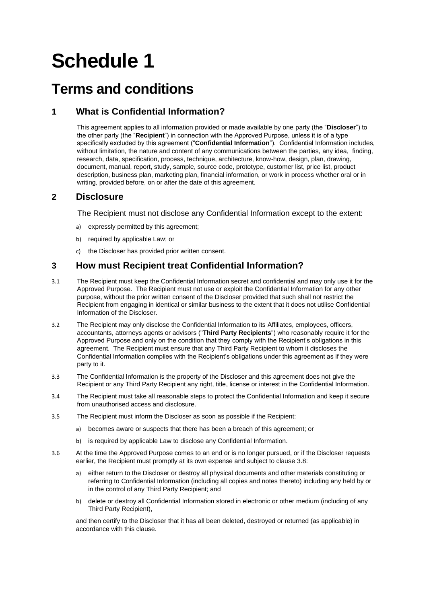# **Schedule 1**

### **Terms and conditions**

### **1 What is Confidential Information?**

This agreement applies to all information provided or made available by one party (the "**Discloser**") to the other party (the "**Recipient**") in connection with the Approved Purpose, unless it is of a type specifically excluded by this agreement ("**Confidential Information**"). Confidential Information includes, without limitation, the nature and content of any communications between the parties, any idea, finding, research, data, specification, process, technique, architecture, know-how, design, plan, drawing, document, manual, report, study, sample, source code, prototype, customer list, price list, product description, business plan, marketing plan, financial information, or work in process whether oral or in writing, provided before, on or after the date of this agreement.

### **2 Disclosure**

The Recipient must not disclose any Confidential Information except to the extent:

- a) expressly permitted by this agreement;
- b) required by applicable Law; or
- c) the Discloser has provided prior written consent.

### **3 How must Recipient treat Confidential Information?**

- 3.1 The Recipient must keep the Confidential Information secret and confidential and may only use it for the Approved Purpose. The Recipient must not use or exploit the Confidential Information for any other purpose, without the prior written consent of the Discloser provided that such shall not restrict the Recipient from engaging in identical or similar business to the extent that it does not utilise Confidential Information of the Discloser.
- 3.2 The Recipient may only disclose the Confidential Information to its Affiliates, employees, officers, accountants, attorneys agents or advisors ("**Third Party Recipients**") who reasonably require it for the Approved Purpose and only on the condition that they comply with the Recipient's obligations in this agreement. The Recipient must ensure that any Third Party Recipient to whom it discloses the Confidential Information complies with the Recipient's obligations under this agreement as if they were party to it.
- 3.3 The Confidential Information is the property of the Discloser and this agreement does not give the Recipient or any Third Party Recipient any right, title, license or interest in the Confidential Information.
- 3.4 The Recipient must take all reasonable steps to protect the Confidential Information and keep it secure from unauthorised access and disclosure.
- 3.5 The Recipient must inform the Discloser as soon as possible if the Recipient:
	- a) becomes aware or suspects that there has been a breach of this agreement; or
	- b) is required by applicable Law to disclose any Confidential Information.
- <span id="page-2-0"></span>3.6 At the time the Approved Purpose comes to an end or is no longer pursued, or if the Discloser requests earlier, the Recipient must promptly at its own expense and subject to clause [3.8:](#page-3-0)
	- a) either return to the Discloser or destroy all physical documents and other materials constituting or referring to Confidential Information (including all copies and notes thereto) including any held by or in the control of any Third Party Recipient; and
	- b) delete or destroy all Confidential Information stored in electronic or other medium (including of any Third Party Recipient),

and then certify to the Discloser that it has all been deleted, destroyed or returned (as applicable) in accordance with this clause.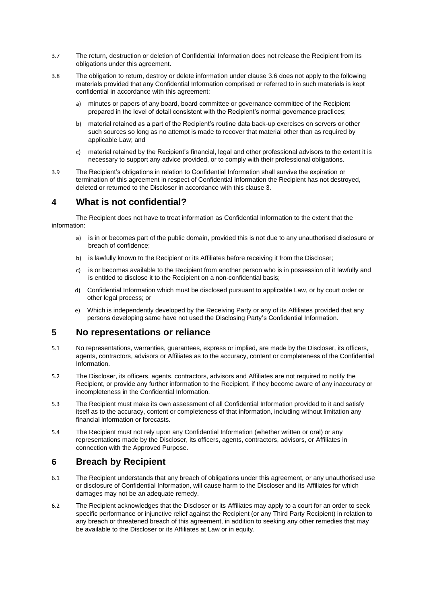- 3.7 The return, destruction or deletion of Confidential Information does not release the Recipient from its obligations under this agreement.
- <span id="page-3-0"></span>3.8 The obligation to return, destroy or delete information under clause [3.6](#page-2-0) does not apply to the following materials provided that any Confidential Information comprised or referred to in such materials is kept confidential in accordance with this agreement:
	- a) minutes or papers of any board, board committee or governance committee of the Recipient prepared in the level of detail consistent with the Recipient's normal governance practices;
	- b) material retained as a part of the Recipient's routine data back-up exercises on servers or other such sources so long as no attempt is made to recover that material other than as required by applicable Law; and
	- c) material retained by the Recipient's financial, legal and other professional advisors to the extent it is necessary to support any advice provided, or to comply with their professional obligations.
- 3.9 The Recipient's obligations in relation to Confidential Information shall survive the expiration or termination of this agreement in respect of Confidential Information the Recipient has not destroyed, deleted or returned to the Discloser in accordance with this clause 3.

#### **4 What is not confidential?**

The Recipient does not have to treat information as Confidential Information to the extent that the information:

- a) is in or becomes part of the public domain, provided this is not due to any unauthorised disclosure or breach of confidence;
- b) is lawfully known to the Recipient or its Affiliates before receiving it from the Discloser;
- c) is or becomes available to the Recipient from another person who is in possession of it lawfully and is entitled to disclose it to the Recipient on a non-confidential basis;
- d) Confidential Information which must be disclosed pursuant to applicable Law, or by court order or other legal process; or
- e) Which is independently developed by the Receiving Party or any of its Affiliates provided that any persons developing same have not used the Disclosing Party's Confidential Information.

#### **5 No representations or reliance**

- 5.1 No representations, warranties, guarantees, express or implied, are made by the Discloser, its officers, agents, contractors, advisors or Affiliates as to the accuracy, content or completeness of the Confidential Information.
- 5.2 The Discloser, its officers, agents, contractors, advisors and Affiliates are not required to notify the Recipient, or provide any further information to the Recipient, if they become aware of any inaccuracy or incompleteness in the Confidential Information.
- 5.3 The Recipient must make its own assessment of all Confidential Information provided to it and satisfy itself as to the accuracy, content or completeness of that information, including without limitation any financial information or forecasts.
- 5.4 The Recipient must not rely upon any Confidential Information (whether written or oral) or any representations made by the Discloser, its officers, agents, contractors, advisors, or Affiliates in connection with the Approved Purpose.

### **6 Breach by Recipient**

- 6.1 The Recipient understands that any breach of obligations under this agreement, or any unauthorised use or disclosure of Confidential Information, will cause harm to the Discloser and its Affiliates for which damages may not be an adequate remedy.
- 6.2 The Recipient acknowledges that the Discloser or its Affiliates may apply to a court for an order to seek specific performance or injunctive relief against the Recipient (or any Third Party Recipient) in relation to any breach or threatened breach of this agreement, in addition to seeking any other remedies that may be available to the Discloser or its Affiliates at Law or in equity.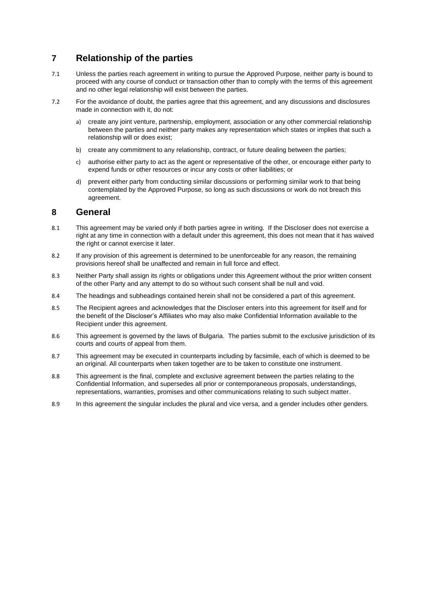### **7 Relationship of the parties**

- 7.1 Unless the parties reach agreement in writing to pursue the Approved Purpose, neither party is bound to proceed with any course of conduct or transaction other than to comply with the terms of this agreement and no other legal relationship will exist between the parties.
- 7.2 For the avoidance of doubt, the parties agree that this agreement, and any discussions and disclosures made in connection with it, do not:
	- a) create any joint venture, partnership, employment, association or any other commercial relationship between the parties and neither party makes any representation which states or implies that such a relationship will or does exist;
	- b) create any commitment to any relationship, contract, or future dealing between the parties;
	- c) authorise either party to act as the agent or representative of the other, or encourage either party to expend funds or other resources or incur any costs or other liabilities; or
	- d) prevent either party from conducting similar discussions or performing similar work to that being contemplated by the Approved Purpose, so long as such discussions or work do not breach this agreement.

#### **8 General**

- 8.1 This agreement may be varied only if both parties agree in writing. If the Discloser does not exercise a right at any time in connection with a default under this agreement, this does not mean that it has waived the right or cannot exercise it later.
- 8.2 If any provision of this agreement is determined to be unenforceable for any reason, the remaining provisions hereof shall be unaffected and remain in full force and effect.
- 8.3 Neither Party shall assign its rights or obligations under this Agreement without the prior written consent of the other Party and any attempt to do so without such consent shall be null and void.
- 8.4 The headings and subheadings contained herein shall not be considered a part of this agreement.
- 8.5 The Recipient agrees and acknowledges that the Discloser enters into this agreement for itself and for the benefit of the Discloser's Affiliates who may also make Confidential Information available to the Recipient under this agreement.
- 8.6 This agreement is governed by the laws of Bulgaria. The parties submit to the exclusive jurisdiction of its courts and courts of appeal from them.
- 8.7 This agreement may be executed in counterparts including by facsimile, each of which is deemed to be an original. All counterparts when taken together are to be taken to constitute one instrument.
- 8.8 This agreement is the final, complete and exclusive agreement between the parties relating to the Confidential Information, and supersedes all prior or contemporaneous proposals, understandings, representations, warranties, promises and other communications relating to such subject matter.
- 8.9 In this agreement the singular includes the plural and vice versa, and a gender includes other genders.